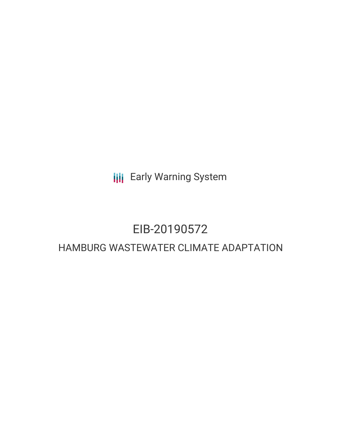**III** Early Warning System

# EIB-20190572

## HAMBURG WASTEWATER CLIMATE ADAPTATION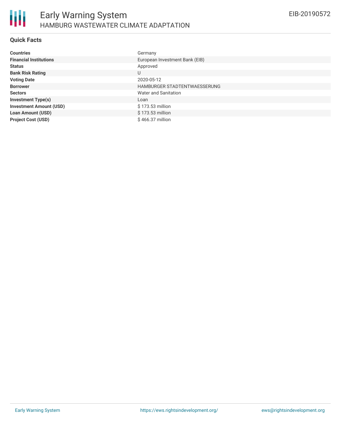### **Quick Facts**

| <b>Countries</b>               | Germany                        |
|--------------------------------|--------------------------------|
| <b>Financial Institutions</b>  | European Investment Bank (EIB) |
| <b>Status</b>                  | Approved                       |
| <b>Bank Risk Rating</b>        | U                              |
| <b>Voting Date</b>             | 2020-05-12                     |
| <b>Borrower</b>                | HAMBURGER STADTENTWAESSERUNG   |
| <b>Sectors</b>                 | Water and Sanitation           |
| <b>Investment Type(s)</b>      | Loan                           |
| <b>Investment Amount (USD)</b> | \$173.53 million               |
| <b>Loan Amount (USD)</b>       | \$173.53 million               |
| <b>Project Cost (USD)</b>      | \$466.37 million               |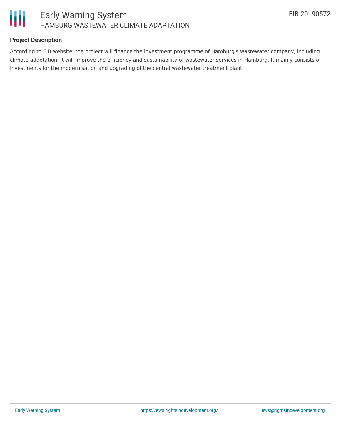

### **Project Description**

According to EIB website, the project will finance the investment programme of Hamburg's wastewater company, including climate adaptation. It will improve the efficiency and sustainability of wastewater services in Hamburg. It mainly consists of investments for the modernisation and upgrading of the central wastewater treatment plant.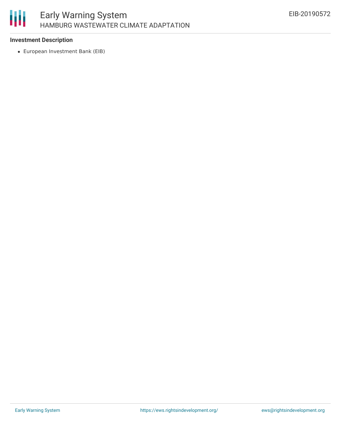

#### **Investment Description**

European Investment Bank (EIB)